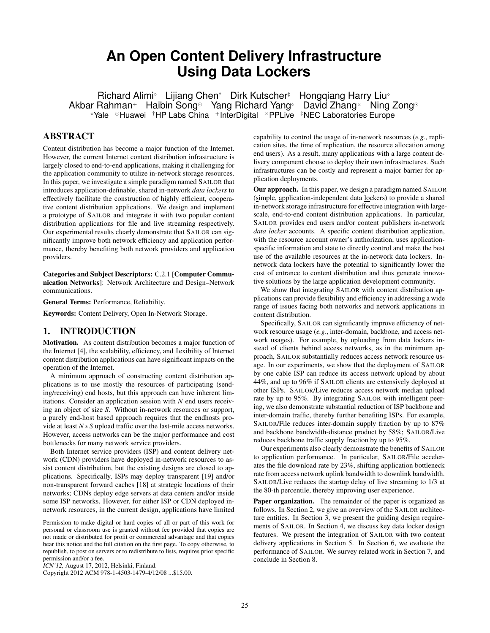# **An Open Content Delivery Infrastructure Using Data Lockers**

Richard Alimi<sup>®</sup> Lijiang Chen† Dirk Kutscher‡ Hongqiang Harry Liu<sup>®</sup> Akbar Rahman+ Haibin Song⊙ Yang Richard Yang∘ David Zhang× Ning Zong⊙ <sup>⋄</sup>Yale <sup>⊙</sup>Huawei †HP Labs China <sup>+</sup>InterDigital <sup>×</sup>PPLive ‡NEC Laboratories Europe

# **ABSTRACT**

Content distribution has become a major function of the Internet. However, the current Internet content distribution infrastructure is largely closed to end-to-end applications, making it challenging for the application community to utilize in-network storage resources. In this paper, we investigate a simple paradigm named SAILOR that introduces application-definable, shared in-network *data lockers* to effectively facilitate the construction of highly efficient, cooperative content distribution applications. We design and implement a prototype of SAILOR and integrate it with two popular content distribution applications for file and live streaming respectively. Our experimental results clearly demonstrate that SAILOR can significantly improve both network efficiency and application performance, thereby benefiting both network providers and application providers.

**Categories and Subject Descriptors:** C.2.1 [**Computer Communication Networks**]: Network Architecture and Design–Network communications.

**General Terms:** Performance, Reliability.

**Keywords:** Content Delivery, Open In-Network Storage.

### **1. INTRODUCTION**

**Motivation.** As content distribution becomes a major function of the Internet [4], the scalability, efficiency, and flexibility of Internet content distribution applications can have significant impacts on the operation of the Internet.

A minimum approach of constructing content distribution applications is to use mostly the resources of participating (sending/receiving) end hosts, but this approach can have inherent limitations. Consider an application session with *N* end users receiving an object of size *S*. Without in-network resources or support, a purely end-host based approach requires that the endhosts provide at least *N* ∗ *S* upload traffic over the last-mile access networks. However, access networks can be the major performance and cost bottlenecks for many network service providers.

Both Internet service providers (ISP) and content delivery network (CDN) providers have deployed in-network resources to assist content distribution, but the existing designs are closed to applications. Specifically, ISPs may deploy transparent [19] and/or non-transparent forward caches [18] at strategic locations of their networks; CDNs deploy edge servers at data centers and/or inside some ISP networks. However, for either ISP or CDN deployed innetwork resources, in the current design, applications have limited

Copyright 2012 ACM 978-1-4503-1479-4/12/08 ...\$15.00.

capability to control the usage of in-network resources (*e.g.*, replication sites, the time of replication, the resource allocation among end users). As a result, many applications with a large content delivery component choose to deploy their own infrastructures. Such infrastructures can be costly and represent a major barrier for application deployments.

**Our approach.** In this paper, we design a paradigm named SAILOR (simple, application-independent data lockers) to provide a shared in-network storage infrastructure for effective integration with largescale, end-to-end content distribution applications. In particular, SAILOR provides end users and/or content publishers in-network *data locker* accounts. A specific content distribution application, with the resource account owner's authorization, uses applicationspecific information and state to directly control and make the best use of the available resources at the in-network data lockers. Innetwork data lockers have the potential to significantly lower the cost of entrance to content distribution and thus generate innovative solutions by the large application development community.

We show that integrating SAILOR with content distribution applications can provide flexibility and efficiency in addressing a wide range of issues facing both networks and network applications in content distribution.

Specifically, SAILOR can significantly improve efficiency of network resource usage (*e.g.*, inter-domain, backbone, and access network usages). For example, by uploading from data lockers instead of clients behind access networks, as in the minimum approach, SAILOR substantially reduces access network resource usage. In our experiments, we show that the deployment of SAILOR by one cable ISP can reduce its access network upload by about 44%, and up to 96% if SAILOR clients are extensively deployed at other ISPs. SAILOR/Live reduces access network median upload rate by up to 95%. By integrating SAILOR with intelligent peering, we also demonstrate substantial reduction of ISP backbone and inter-domain traffic, thereby further benefiting ISPs. For example, SAILOR/File reduces inter-domain supply fraction by up to 87% and backbone bandwidth-distance product by 58%; SAILOR/Live reduces backbone traffic supply fraction by up to 95%.

Our experiments also clearly demonstrate the benefits of SAILOR to application performance. In particular, SAILOR/File accelerates the file download rate by 23%, shifting application bottleneck rate from access network uplink bandwidth to downlink bandwidth. SAILOR/Live reduces the startup delay of live streaming to 1/3 at the 80-th percentile, thereby improving user experience.

Paper organization. The remainder of the paper is organized as follows. In Section 2, we give an overview of the SAILOR architecture entities. In Section 3, we present the guiding design requirements of SAILOR. In Section 4, we discuss key data locker design features. We present the integration of SAILOR with two content delivery applications in Section 5. In Section 6, we evaluate the performance of SAILOR. We survey related work in Section 7, and conclude in Section 8.

Permission to make digital or hard copies of all or part of this work for personal or classroom use is granted without fee provided that copies are not made or distributed for profit or commercial advantage and that copies bear this notice and the full citation on the first page. To copy otherwise, to republish, to post on servers or to redistribute to lists, requires prior specific permission and/or a fee.

*ICN'12,* August 17, 2012, Helsinki, Finland.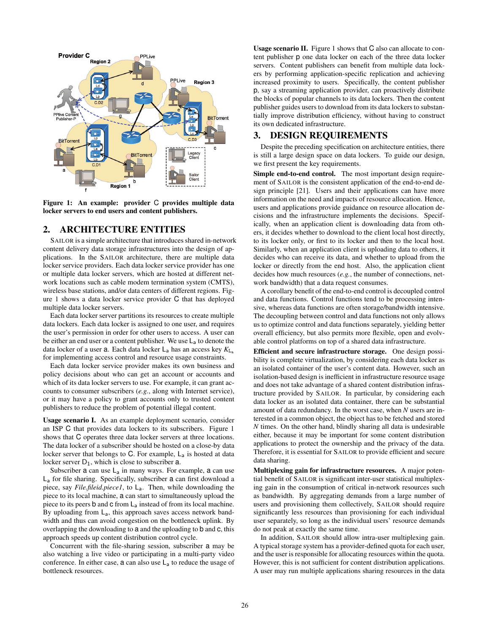

**Figure 1: An example: provider** C **provides multiple data locker servers to end users and content publishers.**

# **2. ARCHITECTURE ENTITIES**

SAILOR is a simple architecture that introduces shared in-network content delivery data storage infrastructures into the design of applications. In the SAILOR architecture, there are multiple data locker service providers. Each data locker service provider has one or multiple data locker servers, which are hosted at different network locations such as cable modem termination system (CMTS), wireless base stations, and/or data centers of different regions. Figure 1 shows a data locker service provider C that has deployed multiple data locker servers.

Each data locker server partitions its resources to create multiple data lockers. Each data locker is assigned to one user, and requires the user's permission in order for other users to access. A user can be either an end user or a content publisher. We use  $\mathsf{L}_{\mathsf{a}}$  to denote the data locker of a user **a**. Each data locker  $L_a$  has an access key  $K_{L_a}$ for implementing access control and resource usage constraints.

Each data locker service provider makes its own business and policy decisions about who can get an account or accounts and which of its data locker servers to use. For example, it can grant accounts to consumer subscribers (*e.g.*, along with Internet service), or it may have a policy to grant accounts only to trusted content publishers to reduce the problem of potential illegal content.

**Usage scenario I.** As an example deployment scenario, consider an ISP C that provides data lockers to its subscribers. Figure 1 shows that C operates three data locker servers at three locations. The data locker of a subscriber should be hosted on a close-by data locker server that belongs to C. For example,  $L_a$  is hosted at data locker server  $D_1$ , which is close to subscriber a.

Subscriber  $a$  can use  $L_a$  in many ways. For example,  $a$  can use L<sup>a</sup> for file sharing. Specifically, subscriber a can first download a piece, say *File.fileid.piece1*, to La. Then, while downloading the piece to its local machine, a can start to simultaneously upload the piece to its peers b and c from L<sup>a</sup> instead of from its local machine. By uploading from  $L_a$ , this approach saves access network bandwidth and thus can avoid congestion on the bottleneck uplink. By overlapping the downloading to a and the uploading to b and c, this approach speeds up content distribution control cycle.

Concurrent with the file-sharing session, subscriber a may be also watching a live video or participating in a multi-party video conference. In either case, a can also use L<sup>a</sup> to reduce the usage of bottleneck resources.

**Usage scenario II.** Figure 1 shows that C also can allocate to content publisher p one data locker on each of the three data locker servers. Content publishers can benefit from multiple data lockers by performing application-specific replication and achieving increased proximity to users. Specifically, the content publisher p, say a streaming application provider, can proactively distribute the blocks of popular channels to its data lockers. Then the content publisher guides users to download from its data lockers to substantially improve distribution efficiency, without having to construct its own dedicated infrastructure.

## **3. DESIGN REQUIREMENTS**

Despite the preceding specification on architecture entities, there is still a large design space on data lockers. To guide our design, we first present the key requirements.

**Simple end-to-end control.** The most important design requirement of SAILOR is the consistent application of the end-to-end design principle [21]. Users and their applications can have more information on the need and impacts of resource allocation. Hence, users and applications provide guidance on resource allocation decisions and the infrastructure implements the decisions. Specifically, when an application client is downloading data from others, it decides whether to download to the client local host directly, to its locker only, or first to its locker and then to the local host. Similarly, when an application client is uploading data to others, it decides who can receive its data, and whether to upload from the locker or directly from the end host. Also, the application client decides how much resources (*e.g.*, the number of connections, network bandwidth) that a data request consumes.

A corollary benefit of the end-to-end control is decoupled control and data functions. Control functions tend to be processing intensive, whereas data functions are often storage/bandwidth intensive. The decoupling between control and data functions not only allows us to optimize control and data functions separately, yielding better overall efficiency, but also permits more flexible, open and evolvable control platforms on top of a shared data infrastructure.

**Efficient and secure infrastructure storage.** One design possibility is complete virtualization, by considering each data locker as an isolated container of the user's content data. However, such an isolation-based design is inefficient in infrastructure resource usage and does not take advantage of a shared content distribution infrastructure provided by SAILOR. In particular, by considering each data locker as an isolated data container, there can be substantial amount of data redundancy. In the worst case, when *N* users are interested in a common object, the object has to be fetched and stored *N* times. On the other hand, blindly sharing all data is undesirable either, because it may be important for some content distribution applications to protect the ownership and the privacy of the data. Therefore, it is essential for SAILOR to provide efficient and secure data sharing.

**Multiplexing gain for infrastructure resources.** A major potential benefit of SAILOR is significant inter-user statistical multiplexing gain in the consumption of critical in-network resources such as bandwidth. By aggregating demands from a large number of users and provisioning them collectively, SAILOR should require significantly less resources than provisioning for each individual user separately, so long as the individual users' resource demands do not peak at exactly the same time.

In addition, SAILOR should allow intra-user multiplexing gain. A typical storage system has a provider-defined quota for each user, and the user is responsible for allocating resources within the quota. However, this is not sufficient for content distribution applications. A user may run multiple applications sharing resources in the data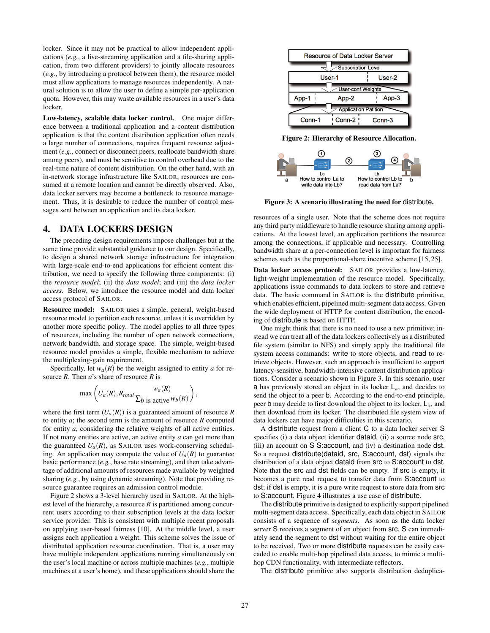locker. Since it may not be practical to allow independent applications (*e.g.*, a live-streaming application and a file-sharing application, from two different providers) to jointly allocate resources (*e.g.*, by introducing a protocol between them), the resource model must allow applications to manage resources independently. A natural solution is to allow the user to define a simple per-application quota. However, this may waste available resources in a user's data locker.

**Low-latency, scalable data locker control.** One major difference between a traditional application and a content distribution application is that the content distribution application often needs a large number of connections, requires frequent resource adjustment (*e.g.*, connect or disconnect peers, reallocate bandwidth share among peers), and must be sensitive to control overhead due to the real-time nature of content distribution. On the other hand, with an in-network storage infrastructure like SAILOR, resources are consumed at a remote location and cannot be directly observed. Also, data locker servers may become a bottleneck to resource management. Thus, it is desirable to reduce the number of control messages sent between an application and its data locker.

#### **4. DATA LOCKERS DESIGN**

The preceding design requirements impose challenges but at the same time provide substantial guidance to our design. Specifically, to design a shared network storage infrastructure for integration with large-scale end-to-end applications for efficient content distribution, we need to specify the following three components: (i) the *resource model*; (ii) the *data model*; and (iii) the *data locker access*. Below, we introduce the resource model and data locker access protocol of SAILOR.

**Resource model:** SAILOR uses a simple, general, weight-based resource model to partition each resource, unless it is overridden by another more specific policy. The model applies to all three types of resources, including the number of open network connections, network bandwidth, and storage space. The simple, weight-based resource model provides a simple, flexible mechanism to achieve the multiplexing-gain requirement.

Specifically, let  $w_a(R)$  be the weight assigned to entity *a* for resource *R*. Then *a*'s share of resource *R* is

$$
\max\left(U_a(R), R_{total}\frac{w_a(R)}{\sum_{b \text{ is active}}w_b(R)}\right),\,
$$

where the first term  $(U_a(R))$  is a guaranteed amount of resource *R* to entity *a*; the second term is the amount of resource *R* computed for entity *a*, considering the relative weights of all active entities. If not many entities are active, an active entity *a* can get more than the guaranteed  $U_a(R)$ , as SAILOR uses work-conserving scheduling. An application may compute the value of  $U_a(R)$  to guarantee basic performance (*e.g.*, base rate streaming), and then take advantage of additional amounts of resources made available by weighted sharing (*e.g.*, by using dynamic streaming). Note that providing resource guarantee requires an admission control module.

Figure 2 shows a 3-level hierarchy used in SAILOR. At the highest level of the hierarchy, a resource *R* is partitioned among concurrent users according to their subscription levels at the data locker service provider. This is consistent with multiple recent proposals on applying user-based fairness [10]. At the middle level, a user assigns each application a weight. This scheme solves the issue of distributed application resource coordination. That is, a user may have multiple independent applications running simultaneously on the user's local machine or across multiple machines (*e.g.*, multiple machines at a user's home), and these applications should share the



**Figure 2: Hierarchy of Resource Allocation.**



**Figure 3: A scenario illustrating the need for** distribute**.**

resources of a single user. Note that the scheme does not require any third party middleware to handle resource sharing among applications. At the lowest level, an application partitions the resource among the connections, if applicable and necessary. Controlling bandwidth share at a per-connection level is important for fairness schemes such as the proportional-share incentive scheme [15, 25].

**Data locker access protocol:** SAILOR provides a low-latency, light-weight implementation of the resource model. Specifically, applications issue commands to data lockers to store and retrieve data. The basic command in SAILOR is the distribute primitive, which enables efficient, pipelined multi-segment data access. Given the wide deployment of HTTP for content distribution, the encoding of distribute is based on HTTP.

One might think that there is no need to use a new primitive; instead we can treat all of the data lockers collectively as a distributed file system (similar to NFS) and simply apply the traditional file system access commands: write to store objects, and read to retrieve objects. However, such an approach is insufficient to support latency-sensitive, bandwidth-intensive content distribution applications. Consider a scenario shown in Figure 3. In this scenario, user a has previously stored an object in its locker  $L_a$ , and decides to send the object to a peer b. According to the end-to-end principle, peer b may decide to first download the object to its locker, L<sub>b</sub>, and then download from its locker. The distributed file system view of data lockers can have major difficulties in this scenario.

A distribute request from a client C to a data locker server S specifies (i) a data object identifier dataid, (ii) a source node src, (iii) an account on S S:account, and (iv) a destination node dst. So a request distribute(dataid, src, S:account, dst) signals the distribution of a data object dataid from src to S:account to dst. Note that the src and dst fields can be empty. If src is empty, it becomes a pure read request to transfer data from S:account to dst; if dst is empty, it is a pure write request to store data from  $src$ to S:account. Figure 4 illustrates a use case of distribute.

The distribute primitive is designed to explicitly support pipelined multi-segment data access. Specifically, each data object in SAILOR consists of a sequence of *segments*. As soon as the data locker server S receives a segment of an object from  $src$ , S can immediately send the segment to dst without waiting for the entire object to be received. Two or more distribute requests can be easily cascaded to enable multi-hop pipelined data access, to mimic a multihop CDN functionality, with intermediate reflectors.

The distribute primitive also supports distribution deduplica-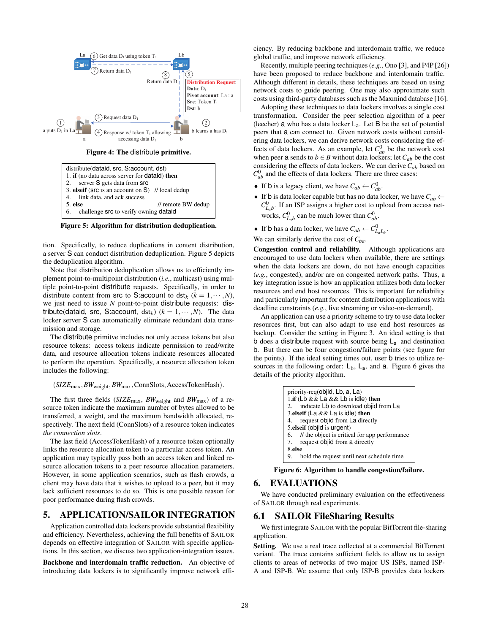

distribute(dataid, src, S:account, dst) 1. **if** (no data across server for dataid) **then** 2. server S gets data from src 3. **elseif** (src is an account on S) // local dedup 4. link data, and ack success 5. **else** // remote BW dedup 6. challenge src to verify owning dataid

**Figure 5: Algorithm for distribution deduplication.**

tion. Specifically, to reduce duplications in content distribution, a server S can conduct distribution deduplication. Figure 5 depicts the deduplication algorithm.

Note that distribution deduplication allows us to efficiently implement point-to-multipoint distribution (*i.e.*, multicast) using multiple point-to-point distribute requests. Specifically, in order to distribute content from src to S:account to dst<sub>k</sub> ( $k = 1, \dots, N$ ), we just need to issue *N* point-to-point distribute requests: distribute(dataid, src, S:account,  $dist_k$ )  $(k = 1, \dots, N)$ . The data locker server S can automatically eliminate redundant data transmission and storage.

The distribute primitve includes not only access tokens but also resource tokens: access tokens indicate permission to read/write data, and resource allocation tokens indicate resources allocated to perform the operation. Specifically, a resource allocation token includes the following:

(*SIZE*max,*BW*weight,*BW*max,ConnSlots,AccessTokenHash).

The first three fields (*SIZE*max, *BW*weight and *BW*max) of a resource token indicate the maximum number of bytes allowed to be transferred, a weight, and the maximum bandwidth allocated, respectively. The next field (ConnSlots) of a resource token indicates *the connection slots*.

The last field (AccessTokenHash) of a resource token optionally links the resource allocation token to a particular access token. An application may typically pass both an access token and linked resource allocation tokens to a peer resource allocation parameters. However, in some application scenarios, such as flash crowds, a client may have data that it wishes to upload to a peer, but it may lack sufficient resources to do so. This is one possible reason for poor performance during flash crowds.

## **5. APPLICATION/SAILOR INTEGRATION**

Application controlled data lockers provide substantial flexibility and efficiency. Nevertheless, achieving the full benefits of SAILOR depends on effective integration of SAILOR with specific applications. In this section, we discuss two application-integration issues.

**Backbone and interdomain traffic reduction.** An objective of introducing data lockers is to significantly improve network efficiency. By reducing backbone and interdomain traffic, we reduce global traffic, and improve network efficiency.

Recently, multiple peering techniques (*e.g.*, Ono [3], and P4P [26]) have been proposed to reduce backbone and interdomain traffic. Although different in details, these techniques are based on using network costs to guide peering. One may also approximate such costs using third-party databases such as the Maxmind database [16].

Adopting these techniques to data lockers involves a single cost transformation. Consider the peer selection algorithm of a peer (leecher) a who has a data locker  $L_a$ . Let B be the set of potential peers that a can connect to. Given network costs without considering data lockers, we can derive network costs considering the effects of data lockers. As an example, let  $C_{ab}^0$  be the network cost when peer a sends to  $b \in B$  without data lockers; let  $C_{ab}$  be the cost considering the effects of data lockers. We can derive *Cab* based on  $C_{ab}^0$  and the effects of data lockers. There are three cases:

- If **b** is a legacy client, we have  $C_{ab} \leftarrow C_{ab}^0$ .
- If **b** is data locker capable but has no data locker, we have  $C_{ab} \leftarrow$  $C_{L_a b}^0$ . If an ISP assigns a higher cost to upload from access networks,  $C_{L_a b}^0$  can be much lower than  $C_{ab}^0$ .
- If **b** has a data locker, we have  $C_{ab} \leftarrow C_{L_a L_b}^0$ .

We can similarly derive the cost of *Cba*.

**Congestion control and reliability.** Although applications are encouraged to use data lockers when available, there are settings when the data lockers are down, do not have enough capacities (*e.g.*, congested), and/or are on congested network paths. Thus, a key integration issue is how an application utilizes both data locker resources and end host resources. This is important for reliability and particularly important for content distribution applications with deadline constraints (*e.g.*, live streaming or video-on-demand).

An application can use a priority scheme to try to use data locker resources first, but can also adapt to use end host resources as backup. Consider the setting in Figure 3. An ideal setting is that b does a distribute request with source being  $L_a$  and destination b. But there can be four congestion/failure points (see figure for the points). If the ideal setting times out, user b tries to utilize resources in the following order:  $L_b$ ,  $L_a$ , and a. Figure 6 gives the details of the priority algorithm.

| priority-reg(objid, Lb, a, La)                      |  |
|-----------------------------------------------------|--|
| 1. if (Lb & & La & & Lb is idle) then               |  |
| indicate Lb to download objid from La               |  |
| 3. elseif (La & & La is idle) then                  |  |
| request objid from La directly<br>4.                |  |
| 5.elseif (objid is urgent)                          |  |
| // the object is critical for app performance<br>6. |  |
| request objid from a directly<br>7.                 |  |
| 8.else                                              |  |
| hold the request until next schedule time<br>9.     |  |

**Figure 6: Algorithm to handle congestion/failure.**

## **6. EVALUATIONS**

We have conducted preliminary evaluation on the effectiveness of SAILOR through real experiments.

#### **6.1 SAILOR FileSharing Results**

We first integrate SAILOR with the popular BitTorrent file-sharing application.

**Setting.** We use a real trace collected at a commercial BitTorrent variant. The trace contains sufficient fields to allow us to assign clients to areas of networks of two major US ISPs, named ISP-A and ISP-B. We assume that only ISP-B provides data lockers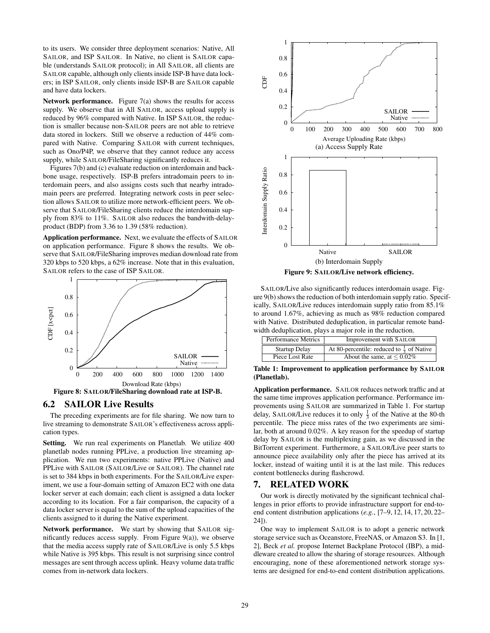to its users. We consider three deployment scenarios: Native, All SAILOR, and ISP SAILOR. In Native, no client is SAILOR capable (understands SAILOR protocol); in All SAILOR, all clients are SAILOR capable, although only clients inside ISP-B have data lockers; in ISP SAILOR, only clients inside ISP-B are SAILOR capable and have data lockers.

**Network performance.** Figure 7(a) shows the results for access supply. We observe that in All SAILOR, access upload supply is reduced by 96% compared with Native. In ISP SAILOR, the reduction is smaller because non-SAILOR peers are not able to retrieve data stored in lockers. Still we observe a reduction of 44% compared with Native. Comparing SAILOR with current techniques, such as Ono/P4P, we observe that they cannot reduce any access supply, while SAILOR/FileSharing significantly reduces it.

Figures 7(b) and (c) evaluate reduction on interdomain and backbone usage, respectively. ISP-B prefers intradomain peers to interdomain peers, and also assigns costs such that nearby intradomain peers are preferred. Integrating network costs in peer selection allows SAILOR to utilize more network-efficient peers. We observe that SAILOR/FileSharing clients reduce the interdomain supply from 83% to 11%. SAILOR also reduces the bandwith-delayproduct (BDP) from 3.36 to 1.39 (58% reduction).

**Application performance.** Next, we evaluate the effects of SAILOR on application performance. Figure 8 shows the results. We observe that SAILOR/FileSharing improves median download rate from 320 kbps to 520 kbps, a 62% increase. Note that in this evaluation, SAILOR refers to the case of ISP SAILOR.



**6.2 SAILOR Live Results**

The preceding experiments are for file sharing. We now turn to live streaming to demonstrate SAILOR's effectiveness across application types.

**Setting.** We run real experiments on Planetlab. We utilize 400 planetlab nodes running PPLive, a production live streaming application. We run two experiments: native PPLive (Native) and PPLive with SAILOR (SAILOR/Live or SAILOR). The channel rate is set to 384 kbps in both experiments. For the SAILOR/Live experiment, we use a four-domain setting of Amazon EC2 with one data locker server at each domain; each client is assigned a data locker according to its location. For a fair comparison, the capacity of a data locker server is equal to the sum of the upload capacities of the clients assigned to it during the Native experiment.

**Network performance.** We start by showing that SAILOR significantly reduces access supply. From Figure  $9(a)$ ), we observe that the media access supply rate of SAILOR/Live is only 5.5 kbps while Native is 395 kbps. This result is not surprising since control messages are sent through access uplink. Heavy volume data traffic comes from in-network data lockers.



**Figure 9: SAILOR/Live network efficiency.**

SAILOR/Live also significantly reduces interdomain usage. Figure 9(b) shows the reduction of both interdomain supply ratio. Specifically, SAILOR/Live reduces interdomain supply ratio from 85.1% to around 1.67%, achieving as much as 98% reduction compared with Native. Distributed deduplication, in particular remote bandwidth deduplication, plays a major role in the reduction.

| <b>Performance Metrics</b> | Improvement with SAILOR                              |
|----------------------------|------------------------------------------------------|
| <b>Startup Delay</b>       | At 80-percentile: reduced to $\frac{1}{2}$ of Native |
| Piece Lost Rate            | About the same, at $\leq 0.02\%$                     |

**Table 1: Improvement to application performance by SAILOR (Planetlab).**

**Application performance.** SAILOR reduces network traffic and at the same time improves application performance. Performance improvements using SAILOR are summarized in Table 1. For startup delay, SAILOR/Live reduces it to only  $\frac{1}{3}$  of the Native at the 80-th percentile. The piece miss rates of the two experiments are similar, both at around 0.02%. A key reason for the speedup of startup delay by SAILOR is the multiplexing gain, as we discussed in the BitTorrent experiment. Furthermore, a SAILOR/Live peer starts to announce piece availability only after the piece has arrived at its locker, instead of waiting until it is at the last mile. This reduces content bottlenecks during flashcrowd.

#### **7. RELATED WORK**

Our work is directly motivated by the significant technical challenges in prior efforts to provide infrastructure support for end-toend content distribution applications (*e.g.*, [7–9, 12, 14, 17, 20, 22– 24]).

One way to implement SAILOR is to adopt a generic network storage service such as Oceanstore, FreeNAS, or Amazon S3. In [1, 2], Beck *et al.* propose Internet Backplane Protocol (IBP), a middleware created to allow the sharing of storage resources. Although encouraging, none of these aforementioned network storage systems are designed for end-to-end content distribution applications.